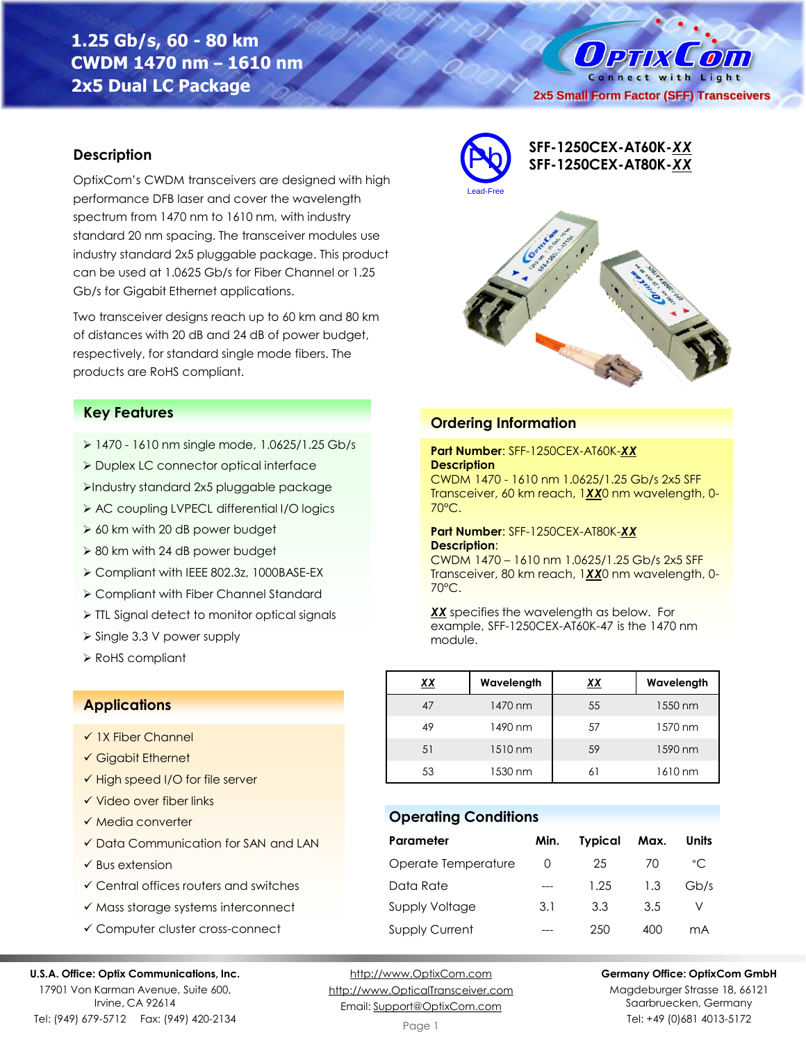# **1.25 Gb/s, 60 - 80 km CWDM 1470 nm – 1610 nm 2x5 Dual LC Package**

O PTIX  $\left( 0\right)$ Connect with Light **2x5 Small Form Factor (SFF) Transceivers**

# **Description**

OptixCom's CWDM transceivers are designed with high performance DFB laser and cover the wavelength spectrum from 1470 nm to 1610 nm, with industry standard 20 nm spacing. The transceiver modules use industry standard 2x5 pluggable package. This product can be used at 1.0625 Gb/s for Fiber Channel or 1.25 Gb/s for Gigabit Ethernet applications.

Two transceiver designs reach up to 60 km and 80 km of distances with 20 dB and 24 dB of power budget, respectively, for standard single mode fibers. The products are RoHS compliant.



- ➢ 1470 1610 nm single mode, 1.0625/1.25 Gb/s
- ➢ Duplex LC connector optical interface
- ➢Industry standard 2x5 pluggable package
- ➢ AC coupling LVPECL differential I/O logics
- ➢ 60 km with 20 dB power budget
- ➢ 80 km with 24 dB power budget
- ➢ Compliant with IEEE 802.3z, 1000BASE-EX
- ➢ Compliant with Fiber Channel Standard
- ➢ TTL Signal detect to monitor optical signals
- ➢ Single 3.3 V power supply
- ➢ RoHS compliant

## **Applications**

- ✓ 1X Fiber Channel
- ✓ Gigabit Ethernet
- ✓ High speed I/O for file server
- ✓ Video over fiber links
- ✓ Media converter
- ✓ Data Communication for SAN and LAN
- $\checkmark$  Bus extension
- ✓ Central offices routers and switches
- ✓ Mass storage systems interconnect
- ✓ Computer cluster cross-connect

#### **U.S.A. Office: Optix Communications, Inc.**

17901 Von Karman Avenue, Suite 600, Irvine, CA 92614 Tel: (949) 679-5712 Fax: (949) 420-2134

[http://www.OptixCom.com](http://www.optixcom.com/) [http://www.OpticalTransceiver.com](http://www.optoictech.com/) Email: [Support@OptixCom.com](mailto:Support@optoICtech.com)



## **Ordering Information**

### **Part Number**: SFF-1250CEX-AT60K-*XX* **Description**

CWDM 1470 - 1610 nm 1.0625/1.25 Gb/s 2x5 SFF Transceiver, 60 km reach, 1*XX*0 nm wavelength, 0- 70°C.

#### **Part Number**: SFF-1250CEX-AT80K-*XX* **Description**:

CWDM 1470 – 1610 nm 1.0625/1.25 Gb/s 2x5 SFF Transceiver, 80 km reach, 1*XX*0 nm wavelength, 0- 70°C.

*XX* specifies the wavelength as below. For example, SFF-1250CEX-AT60K-47 is the 1470 nm module.

| xх | Wavelength | <u>xx</u> | Wavelength |
|----|------------|-----------|------------|
| 47 | 1470 nm    | 55        | 1550 nm    |
| 49 | 1490 nm    | 57        | 1570 nm    |
| 51 | 1510 nm    | 59        | 1590 nm    |
| 53 | 1530 nm    | 61        | 1610 nm    |

# **Operating Conditions**

| Parameter             | Min. | <b>Typical</b> | Max. | Units        |
|-----------------------|------|----------------|------|--------------|
| Operate Temperature   | O    | 25             | 70   | $^{\circ}$ C |
| Data Rate             |      | 1.25           | 1.3  | Gb/s         |
| Supply Voltage        | 3.1  | 3.3            | 3.5  |              |
| <b>Supply Current</b> |      | 250            | 400  | mА           |

**Germany Office: OptixCom GmbH**

Magdeburger Strasse 18, 66121 Saarbruecken, Germany Tel: +49 (0)681 4013-5172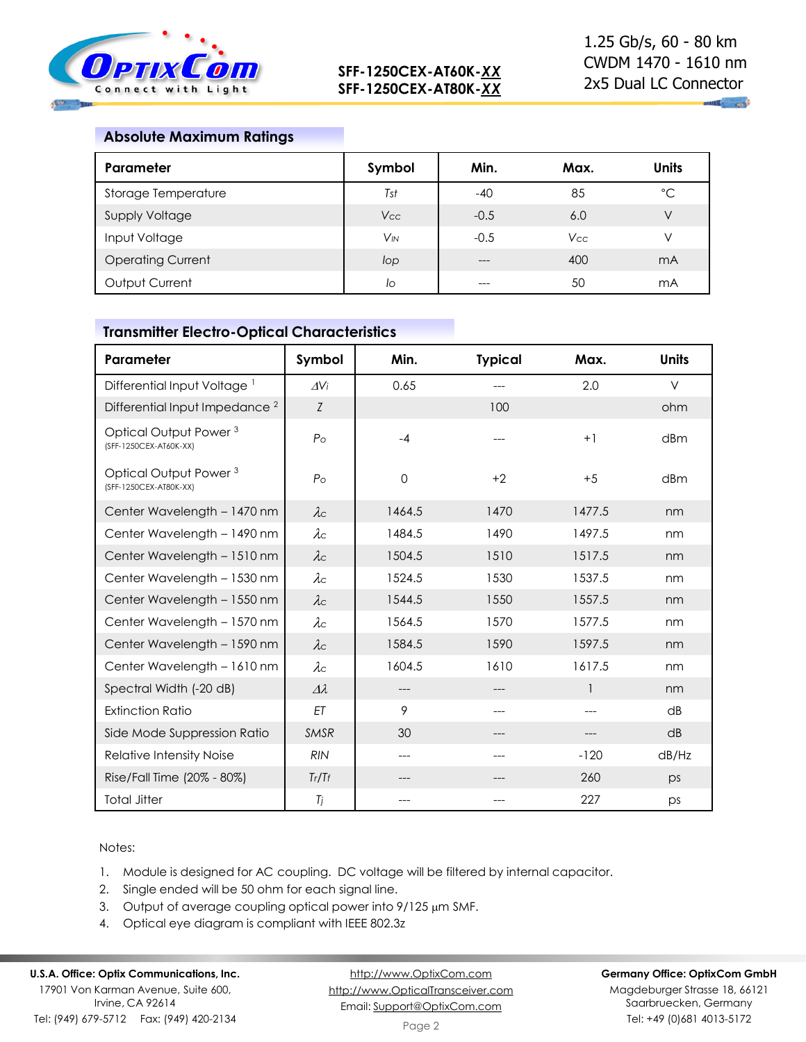

# **Absolute Maximum Ratings**

| Parameter                | Symbol                | Min.   | Max.       | <b>Units</b> |
|--------------------------|-----------------------|--------|------------|--------------|
| Storage Temperature      | Tst                   | $-40$  | 85         | $^{\circ}C$  |
| <b>Supply Voltage</b>    | <b>Vcc</b>            | $-0.5$ | 6.0        | V            |
| Input Voltage            | <b>V<sub>IN</sub></b> | $-0.5$ | <b>Vcc</b> | V            |
| <b>Operating Current</b> | lop                   | ---    | 400        | mA           |
| Output Current           | lo                    |        | 50         | mA           |

# **Transmitter Electro-Optical Characteristics**

| Parameter                                                   | Symbol          | Min.        | <b>Typical</b> | Max.   | <b>Units</b> |
|-------------------------------------------------------------|-----------------|-------------|----------------|--------|--------------|
| Differential Input Voltage <sup>1</sup>                     | $\Delta V$ i    | 0.65        | ---            | 2.0    | $\vee$       |
| Differential Input Impedance <sup>2</sup>                   | Z               |             | 100            |        | ohm          |
| Optical Output Power <sup>3</sup><br>(SFF-1250CEX-AT60K-XX) | $P_{\rm O}$     | $-4$        |                | $+1$   | dBm          |
| Optical Output Power <sup>3</sup><br>(SFF-1250CEX-AT80K-XX) | $P_{\rm O}$     | $\mathbf 0$ | $+2$           | $+5$   | dBm          |
| Center Wavelength - 1470 nm                                 | $\lambda c$     | 1464.5      | 1470           | 1477.5 | nm           |
| Center Wavelength - 1490 nm                                 | $\lambda c$     | 1484.5      | 1490           | 1497.5 | nm           |
| Center Wavelength - 1510 nm                                 | $\lambda c$     | 1504.5      | 1510           | 1517.5 | nm           |
| Center Wavelength - 1530 nm                                 | $\lambda c$     | 1524.5      | 1530           | 1537.5 | nm           |
| Center Wavelength - 1550 nm                                 | $\lambda c$     | 1544.5      | 1550           | 1557.5 | nm           |
| Center Wavelength - 1570 nm                                 | $\lambda c$     | 1564.5      | 1570           | 1577.5 | nm           |
| Center Wavelength - 1590 nm                                 | $\lambda c$     | 1584.5      | 1590           | 1597.5 | nm           |
| Center Wavelength - 1610 nm                                 | $\lambda c$     | 1604.5      | 1610           | 1617.5 | nm           |
| Spectral Width (-20 dB)                                     | $\Delta\lambda$ | $---$       |                | 1      | nm           |
| <b>Extinction Ratio</b>                                     | ET              | 9           |                |        | dB           |
| Side Mode Suppression Ratio                                 | <b>SMSR</b>     | 30          |                |        | dB           |
| Relative Intensity Noise                                    | <b>RIN</b>      | ---         | ---            | $-120$ | dB/Hz        |
| Rise/Fall Time (20% - 80%)                                  | Tr/Tr           |             |                | 260    | ps           |
| <b>Total Jitter</b>                                         | Tj              | ---         |                | 227    | ps           |

### Notes:

- 1. Module is designed for AC coupling. DC voltage will be filtered by internal capacitor.
- 2. Single ended will be 50 ohm for each signal line.
- 3. Output of average coupling optical power into  $9/125 \mu m$  SMF.
- 4. Optical eye diagram is compliant with IEEE 802.3z

# **U.S.A. Office: Optix Communications, Inc.**

17901 Von Karman Avenue, Suite 600, Irvine, CA 92614 Tel: (949) 679-5712 Fax: (949) 420-2134

[http://www.OptixCom.com](http://www.optixcom.com/) [http://www.OpticalTransceiver.com](http://www.optoictech.com/) Email: [Support@OptixCom.com](mailto:Support@optoICtech.com)

#### **Germany Office: OptixCom GmbH**

Magdeburger Strasse 18, 66121 Saarbruecken, Germany Tel: +49 (0)681 4013-5172